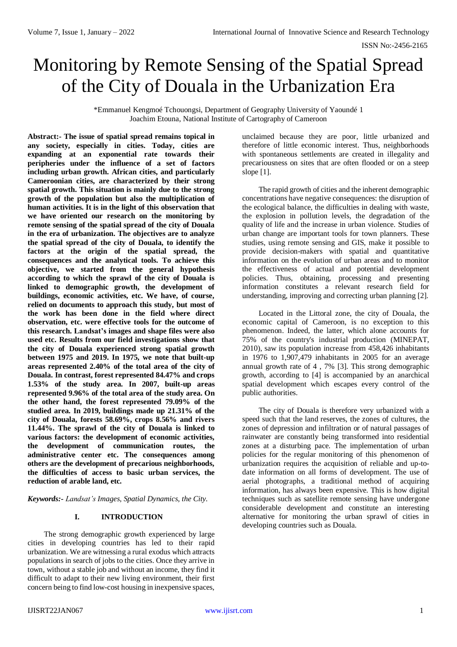# Monitoring by Remote Sensing of the Spatial Spread of the City of Douala in the Urbanization Era

\*Emmanuel Kengmoé Tchouongsi, Department of Geography University of Yaoundé 1 Joachim Etouna, National Institute of Cartography of Cameroon

**Abstract:- The issue of spatial spread remains topical in any society, especially in cities. Today, cities are expanding at an exponential rate towards their peripheries under the influence of a set of factors including urban growth. African cities, and particularly Cameroonian cities, are characterized by their strong spatial growth. This situation is mainly due to the strong growth of the population but also the multiplication of human activities. It is in the light of this observation that we have oriented our research on the monitoring by remote sensing of the spatial spread of the city of Douala in the era of urbanization. The objectives are to analyze the spatial spread of the city of Douala, to identify the factors at the origin of the spatial spread, the consequences and the analytical tools. To achieve this objective, we started from the general hypothesis according to which the sprawl of the city of Douala is linked to demographic growth, the development of buildings, economic activities, etc. We have, of course, relied on documents to approach this study, but most of the work has been done in the field where direct observation, etc. were effective tools for the outcome of this research. Landsat's images and shape files were also used etc. Results from our field investigations show that the city of Douala experienced strong spatial growth between 1975 and 2019. In 1975, we note that built-up areas represented 2.40% of the total area of the city of Douala. In contrast, forest represented 84.47% and crops 1.53% of the study area. In 2007, built-up areas represented 9.96% of the total area of the study area. On the other hand, the forest represented 79.09% of the studied area. In 2019, buildings made up 21.31% of the city of Douala, forests 58.69%, crops 8.56% and rivers 11.44%. The sprawl of the city of Douala is linked to various factors: the development of economic activities, the development of communication routes, the administrative center etc. The consequences among others are the development of precarious neighborhoods, the difficulties of access to basic urban services, the reduction of arable land, etc.**

*Keywords:- Landsat's Images, Spatial Dynamics, the City.*

# **I. INTRODUCTION**

The strong demographic growth experienced by large cities in developing countries has led to their rapid urbanization. We are witnessing a rural exodus which attracts populations in search of jobs to the cities. Once they arrive in town, without a stable job and without an income, they find it difficult to adapt to their new living environment, their first concern being to find low-cost housing in inexpensive spaces, unclaimed because they are poor, little urbanized and therefore of little economic interest. Thus, neighborhoods with spontaneous settlements are created in illegality and precariousness on sites that are often flooded or on a steep slope [1].

The rapid growth of cities and the inherent demographic concentrations have negative consequences: the disruption of the ecological balance, the difficulties in dealing with waste, the explosion in pollution levels, the degradation of the quality of life and the increase in urban violence. Studies of urban change are important tools for town planners. These studies, using remote sensing and GIS, make it possible to provide decision-makers with spatial and quantitative information on the evolution of urban areas and to monitor the effectiveness of actual and potential development policies. Thus, obtaining, processing and presenting information constitutes a relevant research field for understanding, improving and correcting urban planning [2].

Located in the Littoral zone, the city of Douala, the economic capital of Cameroon, is no exception to this phenomenon. Indeed, the latter, which alone accounts for 75% of the country's industrial production (MINEPAT, 2010), saw its population increase from 458,426 inhabitants in 1976 to 1,907,479 inhabitants in 2005 for an average annual growth rate of 4 , 7% [3]. This strong demographic growth, according to [4] is accompanied by an anarchical spatial development which escapes every control of the public authorities.

The city of Douala is therefore very urbanized with a speed such that the land reserves, the zones of cultures, the zones of depression and infiltration or of natural passages of rainwater are constantly being transformed into residential zones at a disturbing pace. The implementation of urban policies for the regular monitoring of this phenomenon of urbanization requires the acquisition of reliable and up-todate information on all forms of development. The use of aerial photographs, a traditional method of acquiring information, has always been expensive. This is how digital techniques such as satellite remote sensing have undergone considerable development and constitute an interesting alternative for monitoring the urban sprawl of cities in developing countries such as Douala.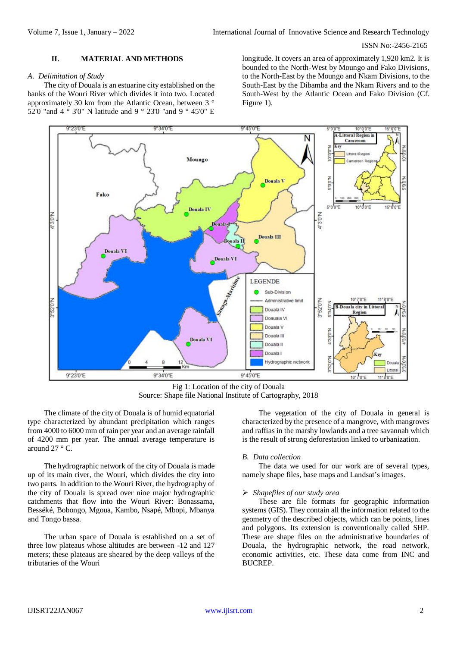## **II. MATERIAL AND METHODS**

#### *A. Delimitation of Study*

The city of Douala is an estuarine city established on the banks of the Wouri River which divides it into two. Located approximately 30 km from the Atlantic Ocean, between 3 ° 52'0 "and 4 ° 3'0" N latitude and 9 ° 23'0 "and 9 ° 45'0" E

longitude. It covers an area of approximately 1,920 km2. It is bounded to the North-West by Moungo and Fako Divisions, to the North-East by the Moungo and Nkam Divisions, to the South-East by the Dibamba and the Nkam Rivers and to the South-West by the Atlantic Ocean and Fako Division (Cf. Figure 1).



Fig 1: Location of the city of Douala Source: Shape file National Institute of Cartography, 2018

The climate of the city of Douala is of humid equatorial type characterized by abundant precipitation which ranges from 4000 to 6000 mm of rain per year and an average rainfall of 4200 mm per year. The annual average temperature is around 27 ° C.

The hydrographic network of the city of Douala is made up of its main river, the Wouri, which divides the city into two parts. In addition to the Wouri River, the hydrography of the city of Douala is spread over nine major hydrographic catchments that flow into the Wouri River: Bonassama, Besséké, Bobongo, Mgoua, Kambo, Nsapé, Mbopi, Mbanya and Tongo bassa.

The urban space of Douala is established on a set of three low plateaus whose altitudes are between -12 and 127 meters; these plateaus are sheared by the deep valleys of the tributaries of the Wouri

The vegetation of the city of Douala in general is characterized by the presence of a mangrove, with mangroves and raffias in the marshy lowlands and a tree savannah which is the result of strong deforestation linked to urbanization.

#### *B. Data collection*

The data we used for our work are of several types, namely shape files, base maps and Landsat's images.

## *Shapefiles of our study area*

These are file formats for geographic information systems (GIS). They contain all the information related to the geometry of the described objects, which can be points, lines and polygons. Its extension is conventionally called SHP. These are shape files on the administrative boundaries of Douala, the hydrographic network, the road network, economic activities, etc. These data come from INC and BUCREP.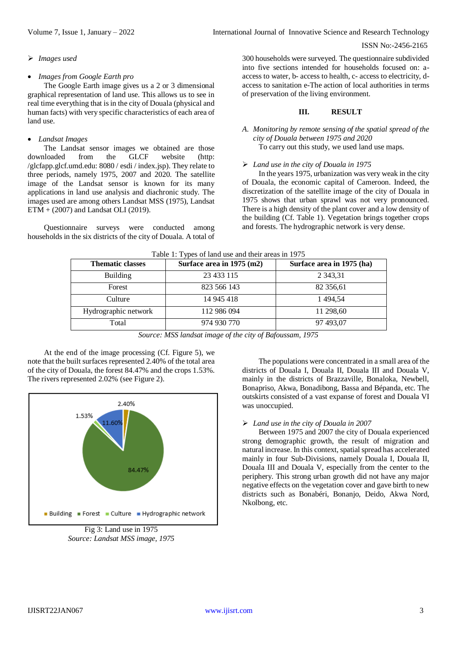#### *Images used*

#### *Images from Google Earth pro*

The Google Earth image gives us a 2 or 3 dimensional graphical representation of land use. This allows us to see in real time everything that is in the city of Douala (physical and human facts) with very specific characteristics of each area of land use.

#### *Landsat Images*

The Landsat sensor images we obtained are those downloaded from the GLCF website (http: /glcfapp.glcf.umd.edu: 8080 / esdi / index.jsp). They relate to three periods, namely 1975, 2007 and 2020. The satellite image of the Landsat sensor is known for its many applications in land use analysis and diachronic study. The images used are among others Landsat MSS (1975), Landsat ETM + (2007) and Landsat OLI (2019).

Questionnaire surveys were conducted among households in the six districts of the city of Douala. A total of 300 households were surveyed. The questionnaire subdivided into five sections intended for households focused on: aaccess to water, b- access to health, c- access to electricity, daccess to sanitation e-The action of local authorities in terms of preservation of the living environment.

#### **III. RESULT**

## *A. Monitoring by remote sensing of the spatial spread of the city of Douala between 1975 and 2020* To carry out this study, we used land use maps.

#### *Land use in the city of Douala in 1975*

In the years 1975, urbanization was very weak in the city of Douala, the economic capital of Cameroon. Indeed, the discretization of the satellite image of the city of Douala in 1975 shows that urban sprawl was not very pronounced. There is a high density of the plant cover and a low density of the building (Cf. Table 1). Vegetation brings together crops and forests. The hydrographic network is very dense.

| <b>Thematic classes</b> | Surface area in 1975 (m2) | Surface area in 1975 (ha) |
|-------------------------|---------------------------|---------------------------|
| <b>Building</b>         | 23 433 115                | 2 3 4 3 , 3 1             |
| Forest                  | 823 566 143               | 82 356,61                 |
| Culture                 | 14 945 418                | 1494.54                   |
| Hydrographic network    | 112 986 094               | 11 298,60                 |
| Total                   | 974 930 770               | 97 493,07                 |

Table 1: Types of land use and their areas in 1975

*Source: MSS landsat image of the city of Bafoussam, 1975*

At the end of the image processing (Cf. Figure 5), we note that the built surfaces represented 2.40% of the total area of the city of Douala, the forest 84.47% and the crops 1.53%. The rivers represented 2.02% (see Figure 2).



*Source: Landsat MSS image, 1975*

The populations were concentrated in a small area of the districts of Douala I, Douala II, Douala III and Douala V, mainly in the districts of Brazzaville, Bonaloka, Newbell, Bonapriso, Akwa, Bonadibong, Bassa and Bépanda, etc. The outskirts consisted of a vast expanse of forest and Douala VI was unoccupied.

#### *Land use in the city of Douala in 2007*

Between 1975 and 2007 the city of Douala experienced strong demographic growth, the result of migration and natural increase. In this context, spatial spread has accelerated mainly in four Sub-Divisions, namely Douala I, Douala II, Douala III and Douala V, especially from the center to the periphery. This strong urban growth did not have any major negative effects on the vegetation cover and gave birth to new districts such as Bonabéri, Bonanjo, Deido, Akwa Nord, Nkolbong, etc.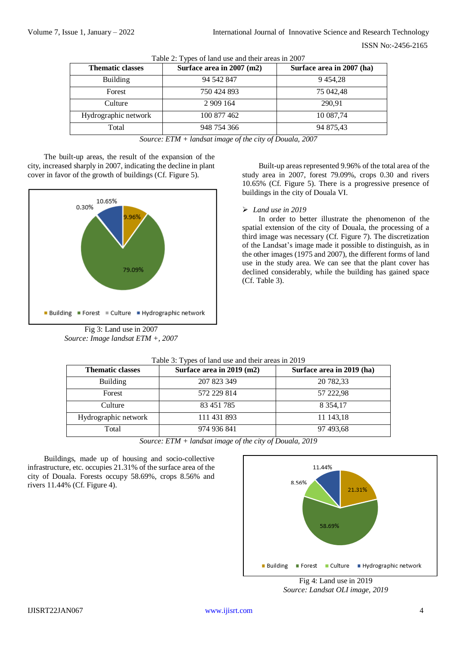| <b>Thematic classes</b> | Surface area in $2007$ (m2) | Surface area in 2007 (ha) |
|-------------------------|-----------------------------|---------------------------|
| <b>Building</b>         | 94 542 847                  | 9 4 5 4 , 28              |
| Forest                  | 750 424 893                 | 75 042,48                 |
| Culture                 | 2 909 164                   | 290.91                    |
| Hydrographic network    | 100 877 462                 | 10 087,74                 |
| Total                   | 948 754 366                 | 94 875,43                 |

Table 2: Types of land use and their areas in 2007

*Source: ETM + landsat image of the city of Douala, 2007*

The built-up areas, the result of the expansion of the city, increased sharply in 2007, indicating the decline in plant cover in favor of the growth of buildings (Cf. Figure 5).



Fig 3: Land use in 2007 *Source: Image landsat ETM +, 2007*

Built-up areas represented 9.96% of the total area of the study area in 2007, forest 79.09%, crops 0.30 and rivers 10.65% (Cf. Figure 5). There is a progressive presence of buildings in the city of Douala VI.

# *Land use in 2019*

In order to better illustrate the phenomenon of the spatial extension of the city of Douala, the processing of a third image was necessary (Cf. Figure 7). The discretization of the Landsat's image made it possible to distinguish, as in the other images (1975 and 2007), the different forms of land use in the study area. We can see that the plant cover has declined considerably, while the building has gained space (Cf. Table 3).

| <b>Thematic classes</b> | Surface area in 2019 (m2) | Surface area in 2019 (ha) |
|-------------------------|---------------------------|---------------------------|
| <b>Building</b>         | 207 823 349               | 20 782,33                 |
| Forest                  | 572 229 814               | 57 222,98                 |
| Culture                 | 83 451 785                | 8 3 5 4 1 7               |
| Hydrographic network    | 111 431 893               | 11 143,18                 |
| Total                   | 974 936 841               | 97 493,68                 |

# Table 3: Types of land use and their areas in 2019

*Source: ETM + landsat image of the city of Douala, 2019*

Buildings, made up of housing and socio-collective infrastructure, etc. occupies 21.31% of the surface area of the city of Douala. Forests occupy 58.69%, crops 8.56% and rivers 11.44% (Cf. Figure 4).



Fig 4: Land use in 2019 *Source: Landsat OLI image, 2019*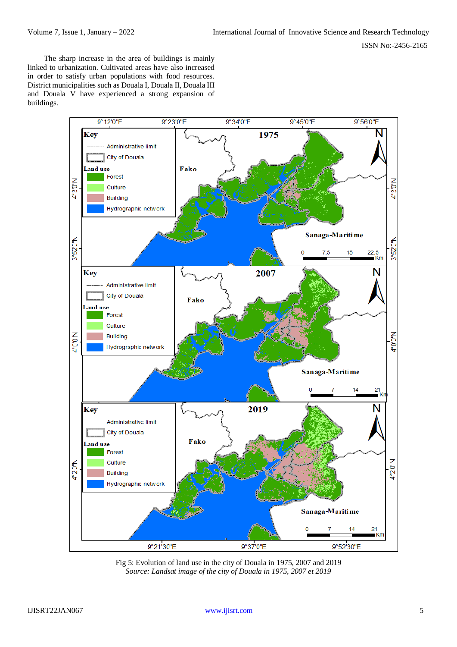The sharp increase in the area of buildings is mainly linked to urbanization. Cultivated areas have also increased in order to satisfy urban populations with food resources. District municipalities such as Douala I, Douala II, Douala III and Douala V have experienced a strong expansion of buildings.



Fig 5: Evolution of land use in the city of Douala in 1975, 2007 and 2019 *Source: Landsat image of the city of Douala in 1975, 2007 et 2019*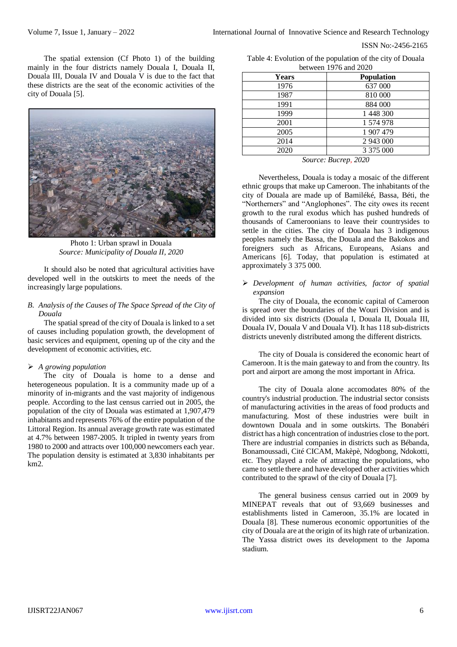The spatial extension (Cf Photo 1) of the building mainly in the four districts namely Douala I, Douala II, Douala III, Douala IV and Douala V is due to the fact that these districts are the seat of the economic activities of the city of Douala [5].



Photo 1: Urban sprawl in Douala *Source: Municipality of Douala II, 2020*

It should also be noted that agricultural activities have developed well in the outskirts to meet the needs of the increasingly large populations.

# *B. Analysis of the Causes of The Space Spread of the City of Douala*

The spatial spread of the city of Douala is linked to a set of causes including population growth, the development of basic services and equipment, opening up of the city and the development of economic activities, etc.

# *A growing population*

The city of Douala is home to a dense and heterogeneous population. It is a community made up of a minority of in-migrants and the vast majority of indigenous people. According to the last census carried out in 2005, the population of the city of Douala was estimated at 1,907,479 inhabitants and represents 76% of the entire population of the Littoral Region. Its annual average growth rate was estimated at 4.7% between 1987-2005. It tripled in twenty years from 1980 to 2000 and attracts over 100,000 newcomers each year. The population density is estimated at 3,830 inhabitants per km2.

Table 4: Evolution of the population of the city of Douala between 1976 and 2020

| <b>Years</b>                                  | Population |  |
|-----------------------------------------------|------------|--|
| 1976                                          | 637 000    |  |
| 1987                                          | 810 000    |  |
| 1991                                          | 884 000    |  |
| 1999                                          | 1 448 300  |  |
| 2001                                          | 1 574 978  |  |
| 2005                                          | 1 907 479  |  |
| 2014                                          | 2 943 000  |  |
| 2020                                          | 3 375 000  |  |
| $\alpha$ and $\alpha$<br>anan<br>$\mathbf{p}$ |            |  |

*Source: Bucrep, 2020*

Nevertheless, Douala is today a mosaic of the different ethnic groups that make up Cameroon. The inhabitants of the city of Douala are made up of Bamiléké, Bassa, Béti, the "Northerners" and "Anglophones". The city owes its recent growth to the rural exodus which has pushed hundreds of thousands of Cameroonians to leave their countrysides to settle in the cities. The city of Douala has 3 indigenous peoples namely the Bassa, the Douala and the Bakokos and foreigners such as Africans, Europeans, Asians and Americans [6]. Today, that population is estimated at approximately 3 375 000.

 *Development of human activities, factor of spatial expansion*

The city of Douala, the economic capital of Cameroon is spread over the boundaries of the Wouri Division and is divided into six districts (Douala I, Douala II, Douala III, Douala IV, Douala V and Douala VI). It has 118 sub-districts districts unevenly distributed among the different districts.

The city of Douala is considered the economic heart of Cameroon. It is the main gateway to and from the country. Its port and airport are among the most important in Africa.

The city of Douala alone accomodates 80% of the country's industrial production. The industrial sector consists of manufacturing activities in the areas of food products and manufacturing. Most of these industries were built in downtown Douala and in some outskirts. The Bonabéri district has a high concentration of industries close to the port. There are industrial companies in districts such as Bébanda, Bonamoussadi, Cité CICAM, Makèpè, Ndogbong, Ndokotti, etc. They played a role of attracting the populations, who came to settle there and have developed other activities which contributed to the sprawl of the city of Douala [7].

The general business census carried out in 2009 by MINEPAT reveals that out of 93,669 businesses and establishments listed in Cameroon, 35.1% are located in Douala [8]. These numerous economic opportunities of the city of Douala are at the origin of its high rate of urbanization. The Yassa district owes its development to the Japoma stadium.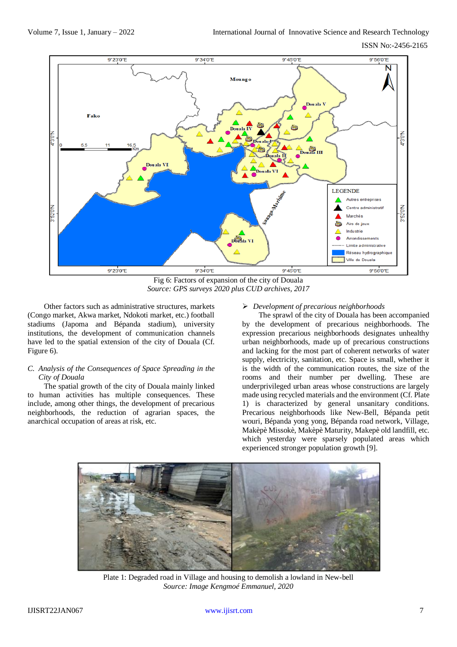Volume 7, Issue 1, January – 2022 International Journal of Innovative Science and Research Technology

ISSN No:-2456-2165



Fig 6: Factors of expansion of the city of Douala *Source: GPS surveys 2020 plus CUD archives, 2017*

Other factors such as administrative structures, markets (Congo market, Akwa market, Ndokoti market, etc.) football stadiums (Japoma and Bépanda stadium), university institutions, the development of communication channels have led to the spatial extension of the city of Douala (Cf. Figure 6).

# *C. Analysis of the Consequences of Space Spreading in the City of Douala*

The spatial growth of the city of Douala mainly linked to human activities has multiple consequences. These include, among other things, the development of precarious neighborhoods, the reduction of agrarian spaces, the anarchical occupation of areas at risk, etc.

# *Development of precarious neighborhoods*

The sprawl of the city of Douala has been accompanied by the development of precarious neighborhoods. The expression precarious neighborhoods designates unhealthy urban neighborhoods, made up of precarious constructions and lacking for the most part of coherent networks of water supply, electricity, sanitation, etc. Space is small, whether it is the width of the communication routes, the size of the rooms and their number per dwelling. These are underprivileged urban areas whose constructions are largely made using recycled materials and the environment (Cf. Plate 1) is characterized by general unsanitary conditions. Precarious neighborhoods like New-Bell, Bépanda petit wouri, Bépanda yong yong, Bépanda road network, Village, Makèpè Missokè, Makèpè Maturity, Makepè old landfill, etc. which yesterday were sparsely populated areas which experienced stronger population growth [9].



Plate 1: Degraded road in Village and housing to demolish a lowland in New-bell *Source: Image Kengmoé Emmanuel, 2020*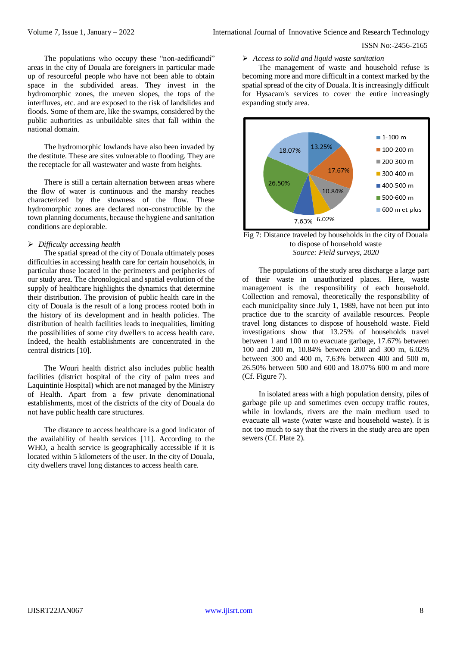The populations who occupy these "non-aedificandi" areas in the city of Douala are foreigners in particular made up of resourceful people who have not been able to obtain space in the subdivided areas. They invest in the hydromorphic zones, the uneven slopes, the tops of the interfluves, etc. and are exposed to the risk of landslides and floods. Some of them are, like the swamps, considered by the public authorities as unbuildable sites that fall within the national domain.

The hydromorphic lowlands have also been invaded by the destitute. These are sites vulnerable to flooding. They are the receptacle for all wastewater and waste from heights.

There is still a certain alternation between areas where the flow of water is continuous and the marshy reaches characterized by the slowness of the flow. These hydromorphic zones are declared non-constructible by the town planning documents, because the hygiene and sanitation conditions are deplorable.

### *Difficulty accessing health*

The spatial spread of the city of Douala ultimately poses difficulties in accessing health care for certain households, in particular those located in the perimeters and peripheries of our study area. The chronological and spatial evolution of the supply of healthcare highlights the dynamics that determine their distribution. The provision of public health care in the city of Douala is the result of a long process rooted both in the history of its development and in health policies. The distribution of health facilities leads to inequalities, limiting the possibilities of some city dwellers to access health care. Indeed, the health establishments are concentrated in the central districts [10].

The Wouri health district also includes public health facilities (district hospital of the city of palm trees and Laquintinie Hospital) which are not managed by the Ministry of Health. Apart from a few private denominational establishments, most of the districts of the city of Douala do not have public health care structures.

The distance to access healthcare is a good indicator of the availability of health services [11]. According to the WHO, a health service is geographically accessible if it is located within 5 kilometers of the user. In the city of Douala, city dwellers travel long distances to access health care.

## *Access to solid and liquid waste sanitation*

The management of waste and household refuse is becoming more and more difficult in a context marked by the spatial spread of the city of Douala. It is increasingly difficult for Hysacam's services to cover the entire increasingly expanding study area.



Fig 7: Distance traveled by households in the city of Douala to dispose of household waste *Source: Field surveys, 2020*

The populations of the study area discharge a large part of their waste in unauthorized places. Here, waste management is the responsibility of each household. Collection and removal, theoretically the responsibility of each municipality since July 1, 1989, have not been put into practice due to the scarcity of available resources. People travel long distances to dispose of household waste. Field investigations show that 13.25% of households travel between 1 and 100 m to evacuate garbage, 17.67% between 100 and 200 m, 10.84% between 200 and 300 m, 6.02% between 300 and 400 m, 7.63% between 400 and 500 m, 26.50% between 500 and 600 and 18.07% 600 m and more (Cf. Figure 7).

In isolated areas with a high population density, piles of garbage pile up and sometimes even occupy traffic routes, while in lowlands, rivers are the main medium used to evacuate all waste (water waste and household waste). It is not too much to say that the rivers in the study area are open sewers (Cf. Plate 2).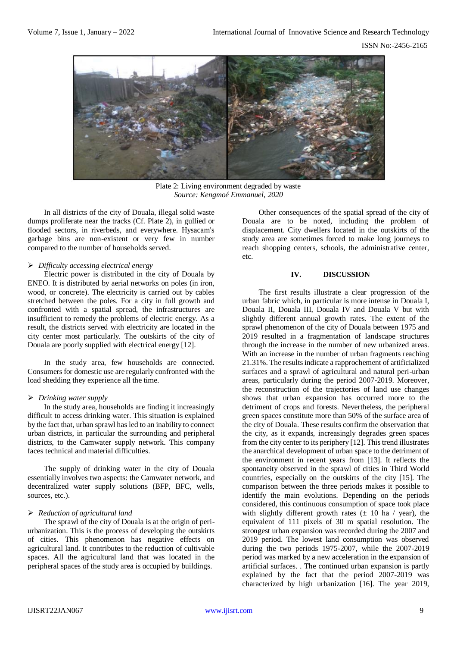

Plate 2: Living environment degraded by waste *Source: Kengmoé Emmanuel, 2020*

In all districts of the city of Douala, illegal solid waste dumps proliferate near the tracks (Cf. Plate 2), in gullied or flooded sectors, in riverbeds, and everywhere. Hysacam's garbage bins are non-existent or very few in number compared to the number of households served.

### *Difficulty accessing electrical energy*

Electric power is distributed in the city of Douala by ENEO. It is distributed by aerial networks on poles (in iron, wood, or concrete). The electricity is carried out by cables stretched between the poles. For a city in full growth and confronted with a spatial spread, the infrastructures are insufficient to remedy the problems of electric energy. As a result, the districts served with electricity are located in the city center most particularly. The outskirts of the city of Douala are poorly supplied with electrical energy [12].

In the study area, few households are connected. Consumers for domestic use are regularly confronted with the load shedding they experience all the time.

# *Drinking water supply*

In the study area, households are finding it increasingly difficult to access drinking water. This situation is explained by the fact that, urban sprawl has led to an inability to connect urban districts, in particular the surrounding and peripheral districts, to the Camwater supply network. This company faces technical and material difficulties.

The supply of drinking water in the city of Douala essentially involves two aspects: the Camwater network, and decentralized water supply solutions (BFP, BFC, wells, sources, etc.).

# *Reduction of agricultural land*

The sprawl of the city of Douala is at the origin of periurbanization. This is the process of developing the outskirts of cities. This phenomenon has negative effects on agricultural land. It contributes to the reduction of cultivable spaces. All the agricultural land that was located in the peripheral spaces of the study area is occupied by buildings.

Other consequences of the spatial spread of the city of Douala are to be noted, including the problem of displacement. City dwellers located in the outskirts of the study area are sometimes forced to make long journeys to reach shopping centers, schools, the administrative center, etc.

# **IV. DISCUSSION**

The first results illustrate a clear progression of the urban fabric which, in particular is more intense in Douala I, Douala II, Douala III, Douala IV and Douala V but with slightly different annual growth rates. The extent of the sprawl phenomenon of the city of Douala between 1975 and 2019 resulted in a fragmentation of landscape structures through the increase in the number of new urbanized areas. With an increase in the number of urban fragments reaching 21.31%. The results indicate a rapprochement of artificialized surfaces and a sprawl of agricultural and natural peri-urban areas, particularly during the period 2007-2019. Moreover, the reconstruction of the trajectories of land use changes shows that urban expansion has occurred more to the detriment of crops and forests. Nevertheless, the peripheral green spaces constitute more than 50% of the surface area of the city of Douala. These results confirm the observation that the city, as it expands, increasingly degrades green spaces from the city center to its periphery [12]. This trend illustrates the anarchical development of urban space to the detriment of the environment in recent years from [13]. It reflects the spontaneity observed in the sprawl of cities in Third World countries, especially on the outskirts of the city [15]. The comparison between the three periods makes it possible to identify the main evolutions. Depending on the periods considered, this continuous consumption of space took place with slightly different growth rates  $(\pm 10$  ha / year), the equivalent of 111 pixels of 30 m spatial resolution. The strongest urban expansion was recorded during the 2007 and 2019 period. The lowest land consumption was observed during the two periods 1975-2007, while the 2007-2019 period was marked by a new acceleration in the expansion of artificial surfaces. . The continued urban expansion is partly explained by the fact that the period 2007-2019 was characterized by high urbanization [16]. The year 2019,